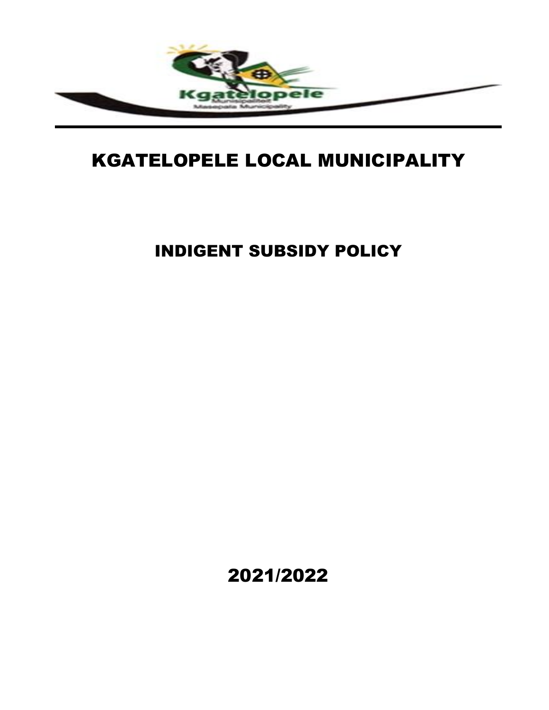

# KGATELOPELE LOCAL MUNICIPALITY

INDIGENT SUBSIDY POLICY

2021/2022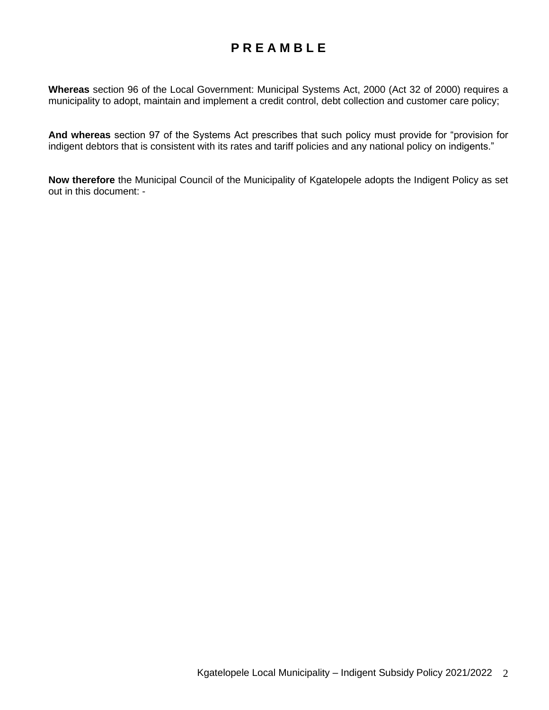# **P R E A M B L E**

**Whereas** section 96 of the Local Government: Municipal Systems Act, 2000 (Act 32 of 2000) requires a municipality to adopt, maintain and implement a credit control, debt collection and customer care policy;

**And whereas** section 97 of the Systems Act prescribes that such policy must provide for "provision for indigent debtors that is consistent with its rates and tariff policies and any national policy on indigents."

**Now therefore** the Municipal Council of the Municipality of Kgatelopele adopts the Indigent Policy as set out in this document: -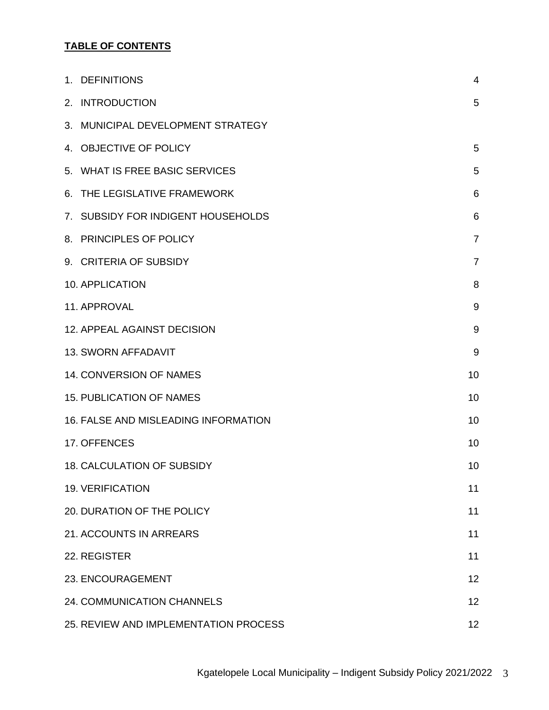# **TABLE OF CONTENTS**

| 1. DEFINITIONS                              | $\overline{4}$ |
|---------------------------------------------|----------------|
| 2. INTRODUCTION                             | 5              |
| 3. MUNICIPAL DEVELOPMENT STRATEGY           |                |
| 4. OBJECTIVE OF POLICY                      | 5              |
| 5. WHAT IS FREE BASIC SERVICES              | 5              |
| 6. THE LEGISLATIVE FRAMEWORK                | 6              |
| 7. SUBSIDY FOR INDIGENT HOUSEHOLDS          | 6              |
| 8. PRINCIPLES OF POLICY                     | $\overline{7}$ |
| 9. CRITERIA OF SUBSIDY                      | $\overline{7}$ |
| <b>10. APPLICATION</b>                      | 8              |
| 11. APPROVAL                                | 9              |
| 12. APPEAL AGAINST DECISION                 | 9              |
| <b>13. SWORN AFFADAVIT</b>                  | 9              |
| 14. CONVERSION OF NAMES                     | 10             |
| <b>15. PUBLICATION OF NAMES</b>             | 10             |
| <b>16. FALSE AND MISLEADING INFORMATION</b> | 10             |
| 17. OFFENCES                                | 10             |
| <b>18. CALCULATION OF SUBSIDY</b>           | 10             |
| <b>19. VERIFICATION</b>                     | 11             |
| 20. DURATION OF THE POLICY                  | 11             |
| 21. ACCOUNTS IN ARREARS                     | 11             |
| 22. REGISTER                                | 11             |
| 23. ENCOURAGEMENT                           | 12             |
| 24. COMMUNICATION CHANNELS                  | 12             |
| 25. REVIEW AND IMPLEMENTATION PROCESS       | 12             |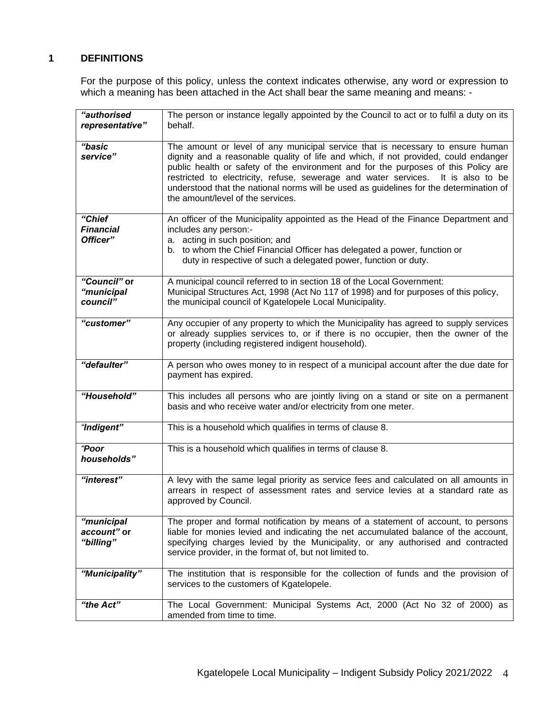# **1 DEFINITIONS**

For the purpose of this policy, unless the context indicates otherwise, any word or expression to which a meaning has been attached in the Act shall bear the same meaning and means: -

| "authorised<br>representative"         | The person or instance legally appointed by the Council to act or to fulfil a duty on its<br>behalf.                                                                                                                                                                                                                                                                                                                                                                           |
|----------------------------------------|--------------------------------------------------------------------------------------------------------------------------------------------------------------------------------------------------------------------------------------------------------------------------------------------------------------------------------------------------------------------------------------------------------------------------------------------------------------------------------|
| "basic<br>service"                     | The amount or level of any municipal service that is necessary to ensure human<br>dignity and a reasonable quality of life and which, if not provided, could endanger<br>public health or safety of the environment and for the purposes of this Policy are<br>restricted to electricity, refuse, sewerage and water services. It is also to be<br>understood that the national norms will be used as guidelines for the determination of<br>the amount/level of the services. |
| "Chief<br><b>Financial</b><br>Officer" | An officer of the Municipality appointed as the Head of the Finance Department and<br>includes any person:-<br>a. acting in such position; and<br>b. to whom the Chief Financial Officer has delegated a power, function or<br>duty in respective of such a delegated power, function or duty.                                                                                                                                                                                 |
| "Council" or<br>"municipal<br>council" | A municipal council referred to in section 18 of the Local Government:<br>Municipal Structures Act, 1998 (Act No 117 of 1998) and for purposes of this policy,<br>the municipal council of Kgatelopele Local Municipality.                                                                                                                                                                                                                                                     |
| "customer"                             | Any occupier of any property to which the Municipality has agreed to supply services<br>or already supplies services to, or if there is no occupier, then the owner of the<br>property (including registered indigent household).                                                                                                                                                                                                                                              |
| "defaulter"                            | A person who owes money to in respect of a municipal account after the due date for<br>payment has expired.                                                                                                                                                                                                                                                                                                                                                                    |
| "Household"                            | This includes all persons who are jointly living on a stand or site on a permanent<br>basis and who receive water and/or electricity from one meter.                                                                                                                                                                                                                                                                                                                           |
| "Indigent"                             | This is a household which qualifies in terms of clause 8.                                                                                                                                                                                                                                                                                                                                                                                                                      |
| "Poor<br>households"                   | This is a household which qualifies in terms of clause 8.                                                                                                                                                                                                                                                                                                                                                                                                                      |
| "interest"                             | A levy with the same legal priority as service fees and calculated on all amounts in<br>arrears in respect of assessment rates and service levies at a standard rate as<br>approved by Council.                                                                                                                                                                                                                                                                                |
| "municipal<br>account" or<br>"billing" | The proper and formal notification by means of a statement of account, to persons<br>liable for monies levied and indicating the net accumulated balance of the account,<br>specifying charges levied by the Municipality, or any authorised and contracted<br>service provider, in the format of, but not limited to.                                                                                                                                                         |
| "Municipality"                         | The institution that is responsible for the collection of funds and the provision of<br>services to the customers of Kgatelopele.                                                                                                                                                                                                                                                                                                                                              |
| "the Act"                              | The Local Government: Municipal Systems Act, 2000 (Act No 32 of 2000) as<br>amended from time to time.                                                                                                                                                                                                                                                                                                                                                                         |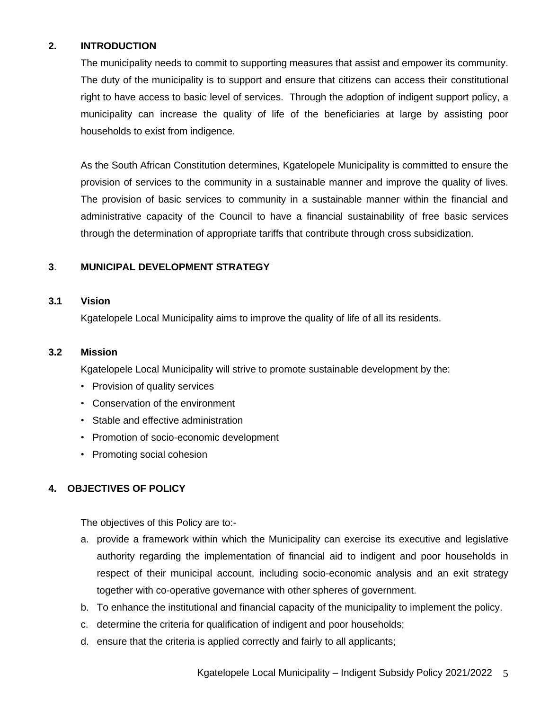# **2. INTRODUCTION**

The municipality needs to commit to supporting measures that assist and empower its community. The duty of the municipality is to support and ensure that citizens can access their constitutional right to have access to basic level of services. Through the adoption of indigent support policy, a municipality can increase the quality of life of the beneficiaries at large by assisting poor households to exist from indigence.

As the South African Constitution determines, Kgatelopele Municipality is committed to ensure the provision of services to the community in a sustainable manner and improve the quality of lives. The provision of basic services to community in a sustainable manner within the financial and administrative capacity of the Council to have a financial sustainability of free basic services through the determination of appropriate tariffs that contribute through cross subsidization.

# **3**. **MUNICIPAL DEVELOPMENT STRATEGY**

#### **3.1 Vision**

Kgatelopele Local Municipality aims to improve the quality of life of all its residents.

#### **3.2 Mission**

Kgatelopele Local Municipality will strive to promote sustainable development by the:

- Provision of quality services
- Conservation of the environment
- Stable and effective administration
- Promotion of socio-economic development
- Promoting social cohesion

# **4. OBJECTIVES OF POLICY**

The objectives of this Policy are to:-

- a. provide a framework within which the Municipality can exercise its executive and legislative authority regarding the implementation of financial aid to indigent and poor households in respect of their municipal account, including socio-economic analysis and an exit strategy together with co-operative governance with other spheres of government.
- b. To enhance the institutional and financial capacity of the municipality to implement the policy.
- c. determine the criteria for qualification of indigent and poor households;
- d. ensure that the criteria is applied correctly and fairly to all applicants;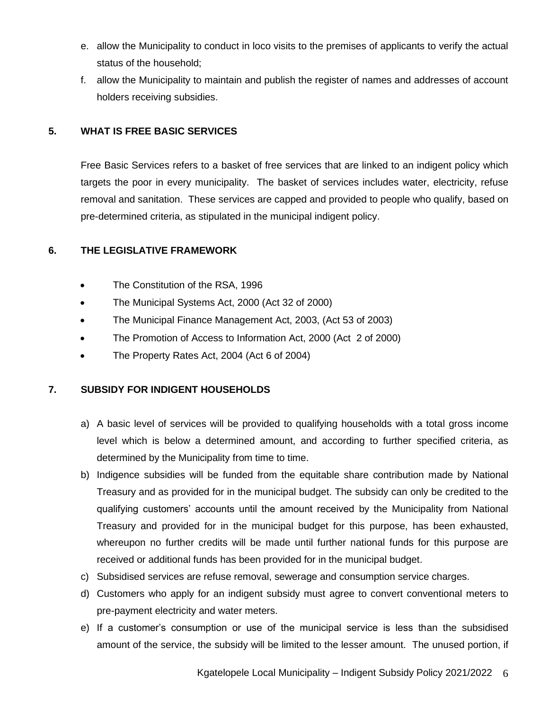- e. allow the Municipality to conduct in loco visits to the premises of applicants to verify the actual status of the household;
- f. allow the Municipality to maintain and publish the register of names and addresses of account holders receiving subsidies.

# **5. WHAT IS FREE BASIC SERVICES**

Free Basic Services refers to a basket of free services that are linked to an indigent policy which targets the poor in every municipality. The basket of services includes water, electricity, refuse removal and sanitation. These services are capped and provided to people who qualify, based on pre-determined criteria, as stipulated in the municipal indigent policy.

# **6. THE LEGISLATIVE FRAMEWORK**

- The Constitution of the RSA, 1996
- The Municipal Systems Act, 2000 (Act 32 of 2000)
- The Municipal Finance Management Act, 2003, (Act 53 of 2003)
- The Promotion of Access to Information Act, 2000 (Act 2 of 2000)
- The Property Rates Act, 2004 (Act 6 of 2004)

# **7. SUBSIDY FOR INDIGENT HOUSEHOLDS**

- a) A basic level of services will be provided to qualifying households with a total gross income level which is below a determined amount, and according to further specified criteria, as determined by the Municipality from time to time.
- b) Indigence subsidies will be funded from the equitable share contribution made by National Treasury and as provided for in the municipal budget. The subsidy can only be credited to the qualifying customers' accounts until the amount received by the Municipality from National Treasury and provided for in the municipal budget for this purpose, has been exhausted, whereupon no further credits will be made until further national funds for this purpose are received or additional funds has been provided for in the municipal budget.
- c) Subsidised services are refuse removal, sewerage and consumption service charges.
- d) Customers who apply for an indigent subsidy must agree to convert conventional meters to pre-payment electricity and water meters.
- e) If a customer's consumption or use of the municipal service is less than the subsidised amount of the service, the subsidy will be limited to the lesser amount. The unused portion, if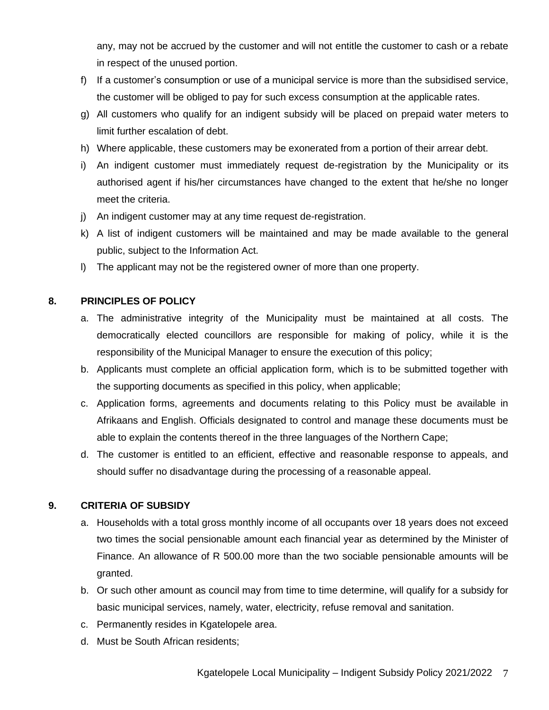any, may not be accrued by the customer and will not entitle the customer to cash or a rebate in respect of the unused portion.

- f) If a customer's consumption or use of a municipal service is more than the subsidised service, the customer will be obliged to pay for such excess consumption at the applicable rates.
- g) All customers who qualify for an indigent subsidy will be placed on prepaid water meters to limit further escalation of debt.
- h) Where applicable, these customers may be exonerated from a portion of their arrear debt.
- i) An indigent customer must immediately request de-registration by the Municipality or its authorised agent if his/her circumstances have changed to the extent that he/she no longer meet the criteria.
- j) An indigent customer may at any time request de-registration.
- k) A list of indigent customers will be maintained and may be made available to the general public, subject to the Information Act.
- l) The applicant may not be the registered owner of more than one property.

# **8. PRINCIPLES OF POLICY**

- a. The administrative integrity of the Municipality must be maintained at all costs. The democratically elected councillors are responsible for making of policy, while it is the responsibility of the Municipal Manager to ensure the execution of this policy;
- b. Applicants must complete an official application form, which is to be submitted together with the supporting documents as specified in this policy, when applicable;
- c. Application forms, agreements and documents relating to this Policy must be available in Afrikaans and English. Officials designated to control and manage these documents must be able to explain the contents thereof in the three languages of the Northern Cape;
- d. The customer is entitled to an efficient, effective and reasonable response to appeals, and should suffer no disadvantage during the processing of a reasonable appeal.

# **9. CRITERIA OF SUBSIDY**

- a. Households with a total gross monthly income of all occupants over 18 years does not exceed two times the social pensionable amount each financial year as determined by the Minister of Finance. An allowance of R 500.00 more than the two sociable pensionable amounts will be granted.
- b. Or such other amount as council may from time to time determine, will qualify for a subsidy for basic municipal services, namely, water, electricity, refuse removal and sanitation.
- c. Permanently resides in Kgatelopele area.
- d. Must be South African residents;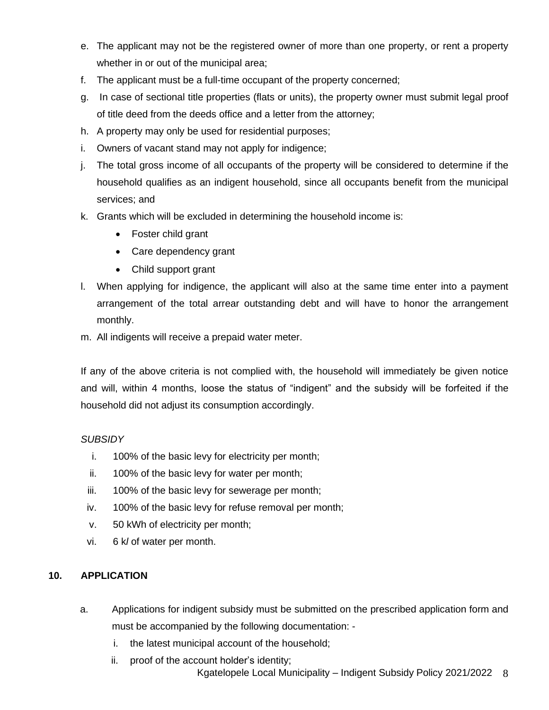- e. The applicant may not be the registered owner of more than one property, or rent a property whether in or out of the municipal area;
- f. The applicant must be a full-time occupant of the property concerned;
- g. In case of sectional title properties (flats or units), the property owner must submit legal proof of title deed from the deeds office and a letter from the attorney;
- h. A property may only be used for residential purposes;
- i. Owners of vacant stand may not apply for indigence;
- j. The total gross income of all occupants of the property will be considered to determine if the household qualifies as an indigent household, since all occupants benefit from the municipal services; and
- k. Grants which will be excluded in determining the household income is:
	- Foster child grant
	- Care dependency grant
	- Child support grant
- l. When applying for indigence, the applicant will also at the same time enter into a payment arrangement of the total arrear outstanding debt and will have to honor the arrangement monthly.
- m. All indigents will receive a prepaid water meter.

If any of the above criteria is not complied with, the household will immediately be given notice and will, within 4 months, loose the status of "indigent" and the subsidy will be forfeited if the household did not adjust its consumption accordingly.

# *SUBSIDY*

- i. 100% of the basic levy for electricity per month;
- ii. 100% of the basic levy for water per month;
- iii. 100% of the basic levy for sewerage per month;
- iv. 100% of the basic levy for refuse removal per month;
- v. 50 kWh of electricity per month;
- vi. 6 k*l* of water per month.

# **10. APPLICATION**

- a. Applications for indigent subsidy must be submitted on the prescribed application form and must be accompanied by the following documentation:
	- i. the latest municipal account of the household;
	- Kgatelopele Local Municipality Indigent Subsidy Policy 2021/2022 8 ii. proof of the account holder's identity;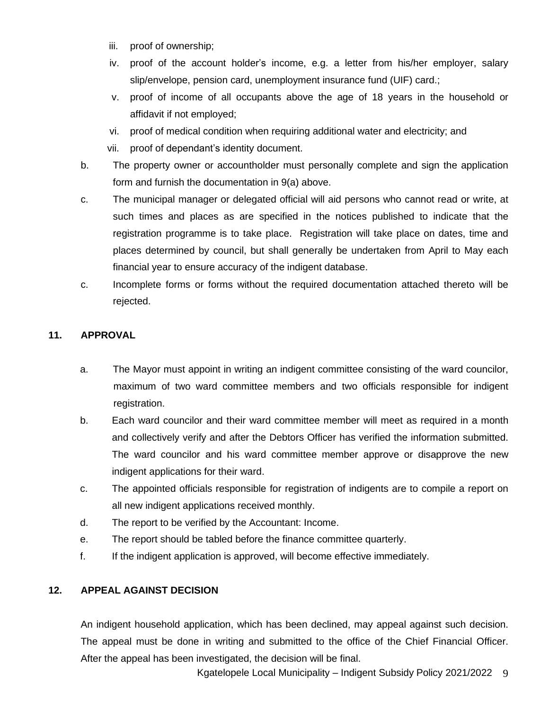- iii. proof of ownership;
- iv. proof of the account holder's income, e.g. a letter from his/her employer, salary slip/envelope, pension card, unemployment insurance fund (UIF) card.;
- v. proof of income of all occupants above the age of 18 years in the household or affidavit if not employed;
- vi. proof of medical condition when requiring additional water and electricity; and
- vii. proof of dependant's identity document.
- b. The property owner or accountholder must personally complete and sign the application form and furnish the documentation in 9(a) above.
- c. The municipal manager or delegated official will aid persons who cannot read or write, at such times and places as are specified in the notices published to indicate that the registration programme is to take place. Registration will take place on dates, time and places determined by council, but shall generally be undertaken from April to May each financial year to ensure accuracy of the indigent database.
- c. Incomplete forms or forms without the required documentation attached thereto will be rejected.

# **11. APPROVAL**

- a. The Mayor must appoint in writing an indigent committee consisting of the ward councilor, maximum of two ward committee members and two officials responsible for indigent registration.
- b. Each ward councilor and their ward committee member will meet as required in a month and collectively verify and after the Debtors Officer has verified the information submitted. The ward councilor and his ward committee member approve or disapprove the new indigent applications for their ward.
- c. The appointed officials responsible for registration of indigents are to compile a report on all new indigent applications received monthly.
- d. The report to be verified by the Accountant: Income.
- e. The report should be tabled before the finance committee quarterly.
- f. If the indigent application is approved, will become effective immediately.

# **12. APPEAL AGAINST DECISION**

An indigent household application, which has been declined, may appeal against such decision. The appeal must be done in writing and submitted to the office of the Chief Financial Officer. After the appeal has been investigated, the decision will be final.

Kgatelopele Local Municipality – Indigent Subsidy Policy 2021/2022 9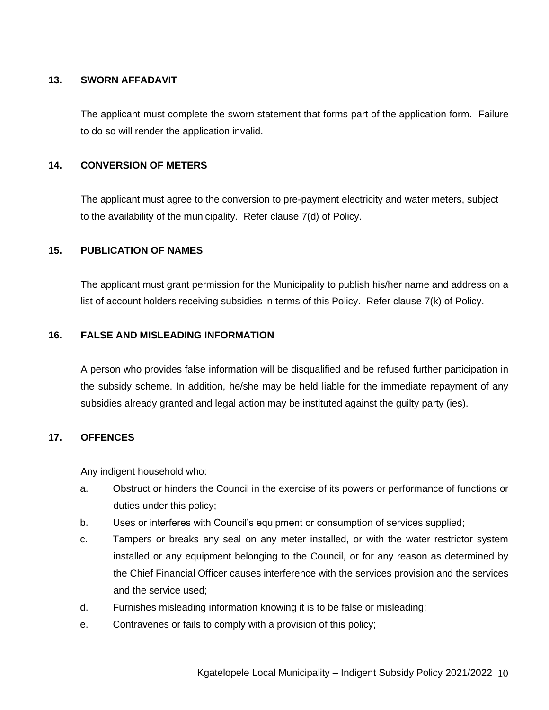## **13. SWORN AFFADAVIT**

The applicant must complete the sworn statement that forms part of the application form. Failure to do so will render the application invalid.

# **14. CONVERSION OF METERS**

The applicant must agree to the conversion to pre-payment electricity and water meters, subject to the availability of the municipality. Refer clause 7(d) of Policy.

# **15. PUBLICATION OF NAMES**

The applicant must grant permission for the Municipality to publish his/her name and address on a list of account holders receiving subsidies in terms of this Policy. Refer clause 7(k) of Policy.

# **16. FALSE AND MISLEADING INFORMATION**

A person who provides false information will be disqualified and be refused further participation in the subsidy scheme. In addition, he/she may be held liable for the immediate repayment of any subsidies already granted and legal action may be instituted against the guilty party (ies).

# **17. OFFENCES**

Any indigent household who:

- a. Obstruct or hinders the Council in the exercise of its powers or performance of functions or duties under this policy;
- b. Uses or interferes with Council's equipment or consumption of services supplied;
- c. Tampers or breaks any seal on any meter installed, or with the water restrictor system installed or any equipment belonging to the Council, or for any reason as determined by the Chief Financial Officer causes interference with the services provision and the services and the service used;
- d. Furnishes misleading information knowing it is to be false or misleading;
- e. Contravenes or fails to comply with a provision of this policy;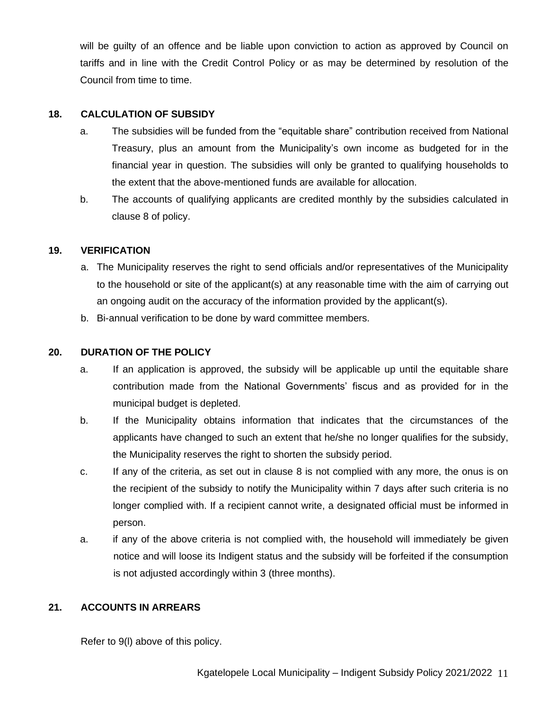will be guilty of an offence and be liable upon conviction to action as approved by Council on tariffs and in line with the Credit Control Policy or as may be determined by resolution of the Council from time to time.

# **18. CALCULATION OF SUBSIDY**

- a. The subsidies will be funded from the "equitable share" contribution received from National Treasury, plus an amount from the Municipality's own income as budgeted for in the financial year in question. The subsidies will only be granted to qualifying households to the extent that the above-mentioned funds are available for allocation.
- b. The accounts of qualifying applicants are credited monthly by the subsidies calculated in clause 8 of policy.

# **19. VERIFICATION**

- a. The Municipality reserves the right to send officials and/or representatives of the Municipality to the household or site of the applicant(s) at any reasonable time with the aim of carrying out an ongoing audit on the accuracy of the information provided by the applicant(s).
- b. Bi-annual verification to be done by ward committee members.

# **20. DURATION OF THE POLICY**

- a. If an application is approved, the subsidy will be applicable up until the equitable share contribution made from the National Governments' fiscus and as provided for in the municipal budget is depleted.
- b. If the Municipality obtains information that indicates that the circumstances of the applicants have changed to such an extent that he/she no longer qualifies for the subsidy, the Municipality reserves the right to shorten the subsidy period.
- c. If any of the criteria, as set out in clause 8 is not complied with any more, the onus is on the recipient of the subsidy to notify the Municipality within 7 days after such criteria is no longer complied with. If a recipient cannot write, a designated official must be informed in person.
- a. if any of the above criteria is not complied with, the household will immediately be given notice and will loose its Indigent status and the subsidy will be forfeited if the consumption is not adjusted accordingly within 3 (three months).

# **21. ACCOUNTS IN ARREARS**

Refer to 9(l) above of this policy.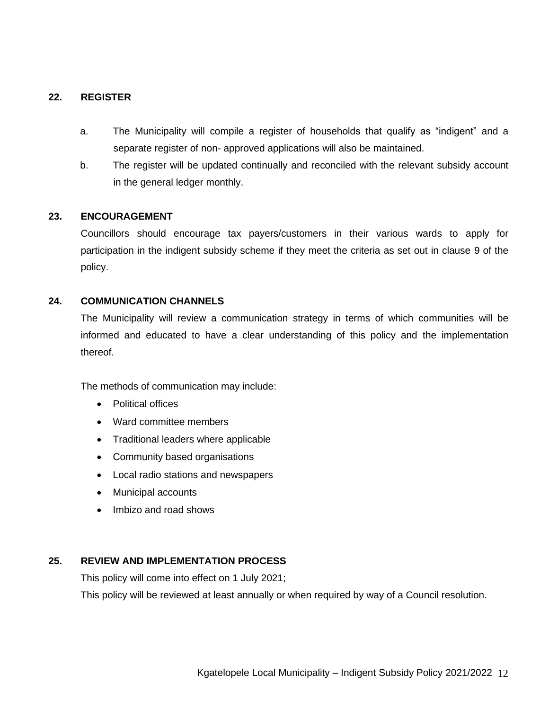# **22. REGISTER**

- a. The Municipality will compile a register of households that qualify as "indigent" and a separate register of non- approved applications will also be maintained.
- b. The register will be updated continually and reconciled with the relevant subsidy account in the general ledger monthly.

# **23. ENCOURAGEMENT**

Councillors should encourage tax payers/customers in their various wards to apply for participation in the indigent subsidy scheme if they meet the criteria as set out in clause 9 of the policy.

# **24. COMMUNICATION CHANNELS**

The Municipality will review a communication strategy in terms of which communities will be informed and educated to have a clear understanding of this policy and the implementation thereof.

The methods of communication may include:

- Political offices
- Ward committee members
- Traditional leaders where applicable
- Community based organisations
- Local radio stations and newspapers
- Municipal accounts
- Imbizo and road shows

# **25. REVIEW AND IMPLEMENTATION PROCESS**

This policy will come into effect on 1 July 2021;

This policy will be reviewed at least annually or when required by way of a Council resolution.